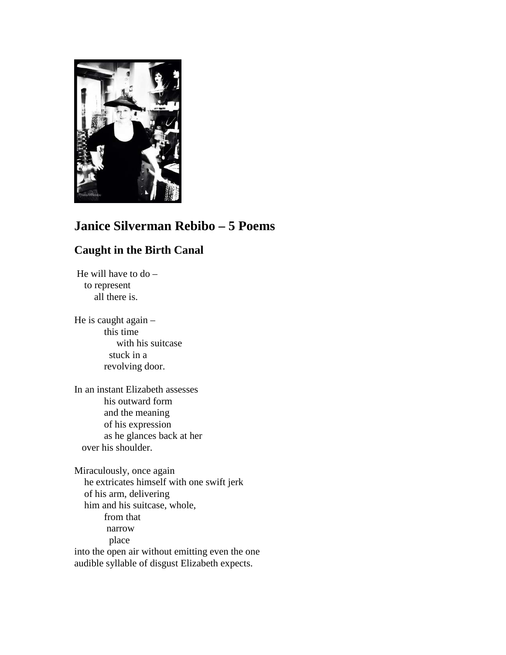

# **Janice Silverman Rebibo – 5 Poems**

# **Caught in the Birth Canal**

He will have to do – to represent all there is.

He is caught again – this time with his suitcase stuck in a revolving door.

In an instant Elizabeth assesses his outward form and the meaning of his expression as he glances back at her over his shoulder.

Miraculously, once again he extricates himself with one swift jerk of his arm, delivering him and his suitcase, whole, from that narrow place into the open air without emitting even the one audible syllable of disgust Elizabeth expects.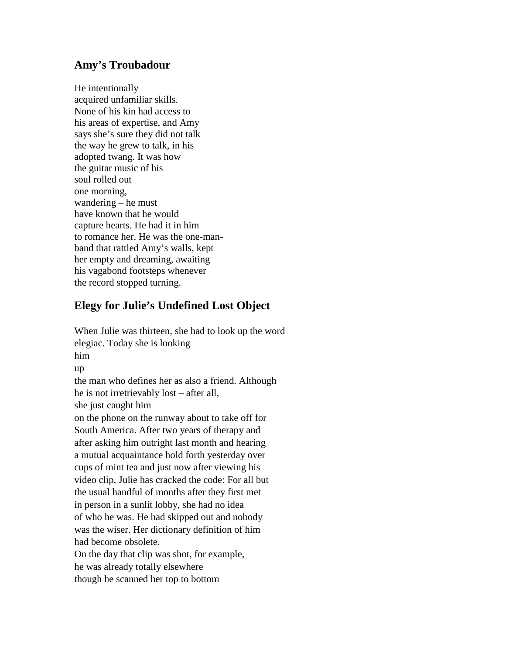### **Amy's Troubadour**

He intentionally acquired unfamiliar skills. None of his kin had access to his areas of expertise, and Amy says she's sure they did not talk the way he grew to talk, in his adopted twang. It was how the guitar music of his soul rolled out one morning, wandering – he must have known that he would capture hearts. He had it in him to romance her. He was the one-manband that rattled Amy's walls, kept her empty and dreaming, awaiting his vagabond footsteps whenever the record stopped turning.

# **Elegy for Julie's Undefined Lost Object**

When Julie was thirteen, she had to look up the word elegiac. Today she is looking him up the man who defines her as also a friend. Although he is not irretrievably lost – after all, she just caught him on the phone on the runway about to take off for South America. After two years of therapy and after asking him outright last month and hearing a mutual acquaintance hold forth yesterday over cups of mint tea and just now after viewing his video clip, Julie has cracked the code: For all but the usual handful of months after they first met in person in a sunlit lobby, she had no idea of who he was. He had skipped out and nobody was the wiser. Her dictionary definition of him had become obsolete. On the day that clip was shot, for example, he was already totally elsewhere

though he scanned her top to bottom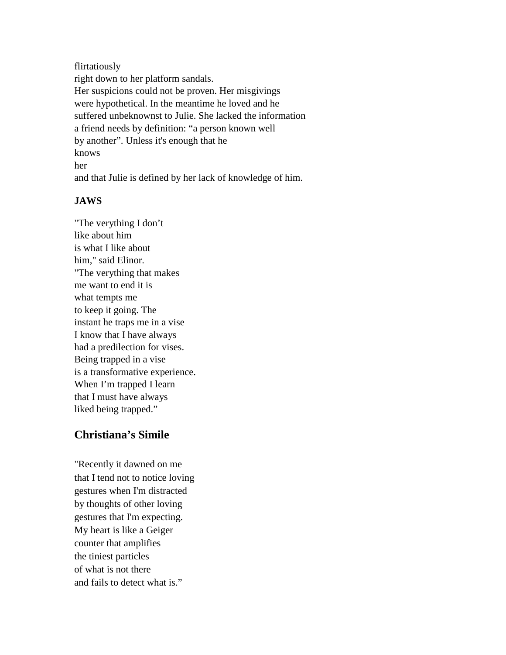flirtatiously right down to her platform sandals. Her suspicions could not be proven. Her misgivings were hypothetical. In the meantime he loved and he suffered unbeknownst to Julie. She lacked the information a friend needs by definition: "a person known well by another". Unless it's enough that he knows her and that Julie is defined by her lack of knowledge of him.

#### **JAWS**

"The verything I don't like about him is what I like about him," said Elinor. "The verything that makes me want to end it is what tempts me to keep it going. The instant he traps me in a vise I know that I have always had a predilection for vises. Being trapped in a vise is a transformative experience. When I'm trapped I learn that I must have always liked being trapped."

#### **Christiana's Simile**

"Recently it dawned on me that I tend not to notice loving gestures when I'm distracted by thoughts of other loving gestures that I'm expecting. My heart is like a Geiger counter that amplifies the tiniest particles of what is not there and fails to detect what is."